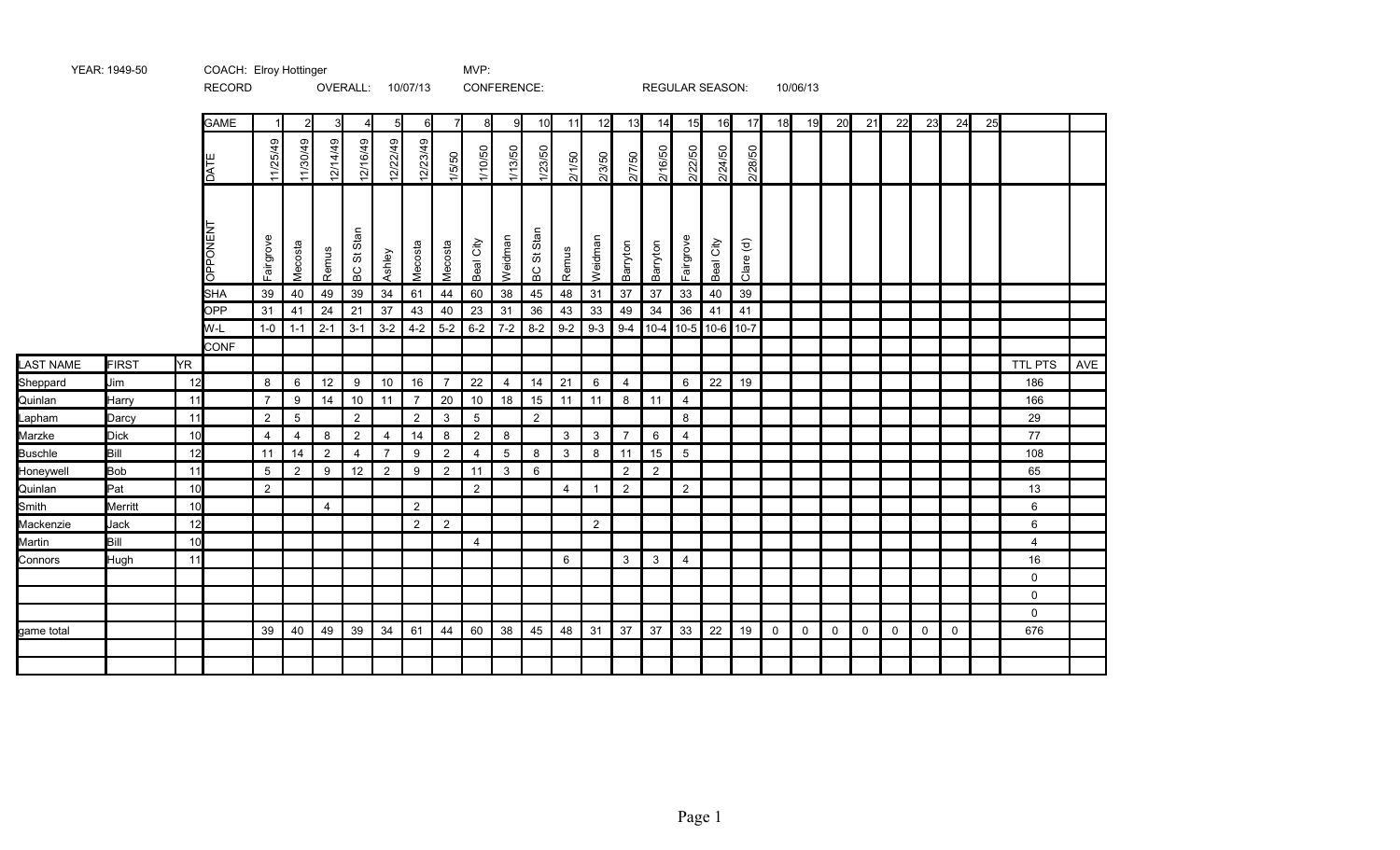|                  |              |           | RECORD         |                |                |                | OVERALL: 10/07/13 |                |                |                |                | CONFERENCE:    |                 |                |                          |                |                | <b>REGULAR SEASON:</b> |           |           |             | 10/06/13 |             |             |             |             |             |    |                |     |
|------------------|--------------|-----------|----------------|----------------|----------------|----------------|-------------------|----------------|----------------|----------------|----------------|----------------|-----------------|----------------|--------------------------|----------------|----------------|------------------------|-----------|-----------|-------------|----------|-------------|-------------|-------------|-------------|-------------|----|----------------|-----|
|                  |              |           | <b>GAME</b>    |                | $\mathcal{D}$  | 3 <sup>l</sup> |                   | 5              | 6              |                | 8              | 9              | 10              | 11             | 12                       | 13             | 14             | 15                     | 16        | 17        | 18          | 19       | 20          | 21          | 22          | 23          | 24          | 25 |                |     |
|                  |              |           | <b>LVO</b>     | 11/25/49       | 11/30/49       | 12/14/49       | 12/16/49          | 12/22/49       | 12/23/49       | 1/5/50         | 1/10/50        | 1/13/50        | 1/23/50         | 2/1/50         | 2/3/50                   | 2/7/50         | 2/16/50        | 2/22/50                | 2/24/50   | 2/28/50   |             |          |             |             |             |             |             |    |                |     |
|                  |              |           | <b>OPPONEN</b> | Fairgrove      | Mecosta        | Remus          | Stan<br>BC St     | Ashley         | Mecosta        | Mecosta        | City<br>Beal   | Weidman        | Stan<br>ö<br>6C | Remus          | Weidman                  | Barryton       | Barryton       | Fairgrove              | Beal City | Clare (d) |             |          |             |             |             |             |             |    |                |     |
|                  |              |           | <b>SHA</b>     | 39             | 40             | 49             | 39                | 34             | 61             | 44             | 60             | 38             | 45              | 48             | 31                       | 37             | 37             | 33                     | 40        | 39        |             |          |             |             |             |             |             |    |                |     |
|                  |              |           | <b>OPP</b>     | 31             | 41             | 24             | 21                | 37             | 43             | 40             | 23             | 31             | 36              | 43             | 33                       | 49             | 34             | 36                     | 41        | 41        |             |          |             |             |             |             |             |    |                |     |
|                  |              |           | W-L            | $1-0$          | $1 - 1$        | $2 - 1$        | $3-1$             | $3-2$          | $4 - 2$        | $5-2$          | $6 - 2$        | $7-2$          | $8 - 2$         | $9 - 2$        | $9-3$                    |                |                | $9-4$ 10-4 10-5 10-6   |           | $10-7$    |             |          |             |             |             |             |             |    |                |     |
|                  |              |           | <b>CONF</b>    |                |                |                |                   |                |                |                |                |                |                 |                |                          |                |                |                        |           |           |             |          |             |             |             |             |             |    |                |     |
| <b>LAST NAME</b> | <b>FIRST</b> | <b>YR</b> |                |                |                |                |                   |                |                |                |                |                |                 |                |                          |                |                |                        |           |           |             |          |             |             |             |             |             |    | <b>TTL PTS</b> | AVE |
| Sheppard         | Jim          | 12        |                | 8              | 6              | 12             | 9                 | 10             | 16             | $\overline{7}$ | 22             | $\overline{4}$ | 14              | 21             | 6                        | $\overline{4}$ |                | 6                      | 22        | 19        |             |          |             |             |             |             |             |    | 186            |     |
| Quinlan          | Harry        | 11        |                | $\overline{7}$ | 9              | 14             | 10                | 11             | $\overline{7}$ | 20             | 10             | 18             | 15              | 11             | 11                       | 8              | 11             | $\overline{4}$         |           |           |             |          |             |             |             |             |             |    | 166            |     |
| Lapham           | Darcy        | 11        |                | $\overline{2}$ | $\overline{5}$ |                | $\overline{2}$    |                | $\overline{2}$ | 3              | $\overline{5}$ |                | $\overline{2}$  |                |                          |                |                | 8                      |           |           |             |          |             |             |             |             |             |    | 29             |     |
| Marzke           | <b>Dick</b>  | 10        |                | $\overline{4}$ | $\overline{4}$ | 8              | $\overline{2}$    | $\overline{4}$ | 14             | 8              | $\overline{2}$ | 8              |                 | 3              | 3                        | $\overline{7}$ | 6              | $\overline{4}$         |           |           |             |          |             |             |             |             |             |    | 77             |     |
| <b>Buschle</b>   | Bill         | 12        |                | 11             | 14             | $\overline{2}$ | $\overline{4}$    | $\overline{7}$ | 9              | $\overline{2}$ | $\overline{4}$ | 5              | 8               | 3              | 8                        | 11             | 15             | $5\overline{)}$        |           |           |             |          |             |             |             |             |             |    | 108            |     |
| Honeywell        | <b>Bob</b>   | 11        |                | 5              | $\overline{2}$ | 9              | 12                | 2              | 9              | 2              | 11             | 3              | 6               |                |                          | $\overline{2}$ | $\overline{2}$ |                        |           |           |             |          |             |             |             |             |             |    | 65             |     |
| Quinlan          | Pat          | 10        |                | $\overline{2}$ |                |                |                   |                |                |                | $\overline{2}$ |                |                 | $\overline{4}$ | $\overline{\phantom{a}}$ | $\overline{2}$ |                | $\overline{2}$         |           |           |             |          |             |             |             |             |             |    | 13             |     |
| Smith            | Merritt      | 10        |                |                |                | $\overline{4}$ |                   |                | $\overline{c}$ |                |                |                |                 |                |                          |                |                |                        |           |           |             |          |             |             |             |             |             |    | 6              |     |
| Mackenzie        | Jack         | 12        |                |                |                |                |                   |                | $\overline{2}$ | $\overline{2}$ |                |                |                 |                | $\overline{2}$           |                |                |                        |           |           |             |          |             |             |             |             |             |    | 6              |     |
| Martin           | Bill         | 10        |                |                |                |                |                   |                |                |                | 4              |                |                 |                |                          |                |                |                        |           |           |             |          |             |             |             |             |             |    | 4              |     |
| Connors          | Hugh         | 11        |                |                |                |                |                   |                |                |                |                |                |                 | 6              |                          | 3              | 3              | $\overline{4}$         |           |           |             |          |             |             |             |             |             |    | 16             |     |
|                  |              |           |                |                |                |                |                   |                |                |                |                |                |                 |                |                          |                |                |                        |           |           |             |          |             |             |             |             |             |    | $\Omega$       |     |
|                  |              |           |                |                |                |                |                   |                |                |                |                |                |                 |                |                          |                |                |                        |           |           |             |          |             |             |             |             |             |    | 0              |     |
|                  |              |           |                |                |                |                |                   |                |                |                |                |                |                 |                |                          |                |                |                        |           |           |             |          |             |             |             |             |             |    | $\Omega$       |     |
| game total       |              |           |                | 39             | 40             | 49             | 39                | 34             | 61             | 44             | 60             | 38             | 45              | 48             | 31                       | 37             | 37             | 33                     | 22        | 19        | $\mathbf 0$ | 0        | $\mathbf 0$ | $\mathbf 0$ | $\mathbf 0$ | $\mathbf 0$ | $\mathbf 0$ |    | 676            |     |
|                  |              |           |                |                |                |                |                   |                |                |                |                |                |                 |                |                          |                |                |                        |           |           |             |          |             |             |             |             |             |    |                |     |
|                  |              |           |                |                |                |                |                   |                |                |                |                |                |                 |                |                          |                |                |                        |           |           |             |          |             |             |             |             |             |    |                |     |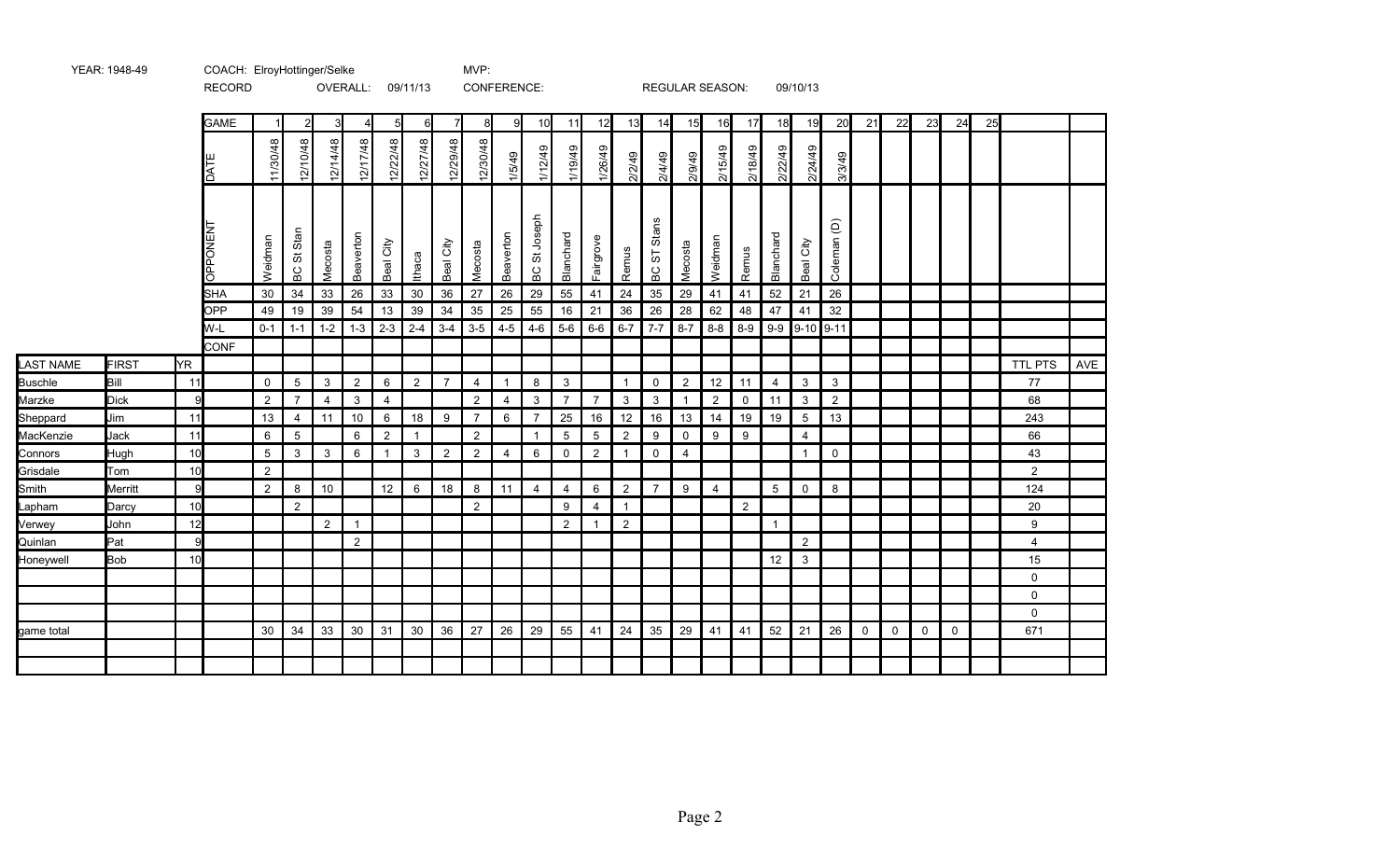|                  |              |     | <b>RECORD</b> |                |                |                | OVERALL:       |                | 09/11/13       |                |                | CONFERENCE:    |                   |                |                |                |                   | REGULAR SEASON: |                |                |                | 09/10/13        |                        |          |             |             |             |    |                |     |
|------------------|--------------|-----|---------------|----------------|----------------|----------------|----------------|----------------|----------------|----------------|----------------|----------------|-------------------|----------------|----------------|----------------|-------------------|-----------------|----------------|----------------|----------------|-----------------|------------------------|----------|-------------|-------------|-------------|----|----------------|-----|
|                  |              |     | <b>GAME</b>   |                | 2              | 3              |                | 5              | 6              |                | 81             | -91            | 10                | 11             | 12             | 13             | 14                | 15              | 16             | 17             | 18             | 19              | 20                     | 21       | 22          | 23          | 24          | 25 |                |     |
|                  |              |     | ш<br>DATI     | 11/30/48       | 12/10/48       | 12/14/48       | 12/17/48       | 12/22/48       | 12/27/48       | 12/29/48       | 12/30/48       | 1/5/49         | 1/12/49           | 1/19/49        | 1/26/49        | 2/2/49         | 2/4/49            | 2/9/49          | 2/15/49        | 2/18/49        | 2/22/49        | 2/24/49         | 3/3/49                 |          |             |             |             |    |                |     |
|                  |              |     | OPPONENT      | Weidman        | BC St Stan     | Mecosta        | Beaverton      | Beal City      | Ithaca         | City<br>Beal   | Mecosta        | Beaverton      | Joseph<br>5<br>БC | Blanchard      | Fairgrove      | Remus          | Stans<br>19<br>ВC | Mecosta         | Weidman        | Remus          | Blanchard      | Beal City       | Coleman <sub>(D)</sub> |          |             |             |             |    |                |     |
|                  |              |     | <b>SHA</b>    | 30             | 34             | 33             | 26             | 33             | 30             | 36             | 27             | 26             | 29                | 55             | 41             | 24             | 35                | 29              | 41             | 41             | 52             | 21              | 26                     |          |             |             |             |    |                |     |
|                  |              |     | OPP           | 49             | 19             | 39             | 54             | 13             | 39             | 34             | 35             | 25             | 55                | 16             | 21             | 36             | 26                | 28              | 62             | 48             | 47             | 41              | 32                     |          |             |             |             |    |                |     |
|                  |              |     | W-L<br>CONF   | $0 - 1$        | $1 - 1$        | $1 - 2$        | $1 - 3$        | $2 - 3$        | $2 - 4$        | $3 - 4$        | $3-5$          | $4 - 5$        | $4 - 6$           | $5-6$          | $6-6$          | $6 - 7$        | $7 - 7$           | $8 - 7$         | $8 - 8$        | $8-9$          | $9-9$          | $9-10$ 9-11     |                        |          |             |             |             |    |                |     |
| <b>LAST NAME</b> | <b>FIRST</b> | ŀΥR |               |                |                |                |                |                |                |                |                |                |                   |                |                |                |                   |                 |                |                |                |                 |                        |          |             |             |             |    | <b>TTL PTS</b> | AVE |
| <b>Buschle</b>   | Bill         | 11  |               | 0              | $\overline{5}$ | $\mathbf{3}$   | $\overline{2}$ | 6              | $\overline{2}$ | $\overline{7}$ | $\overline{4}$ |                | 8                 | 3              |                | $\overline{1}$ | $\mathbf 0$       | $\overline{2}$  | 12             | 11             | $\overline{4}$ | $\mathbf{3}$    | $\mathbf{3}$           |          |             |             |             |    | 77             |     |
| Marzke           | <b>Dick</b>  | 9   |               | $\overline{c}$ | $\overline{7}$ | $\overline{4}$ | 3              | 4              |                |                | $\overline{2}$ | $\overline{4}$ | 3                 | $\overline{7}$ | $\overline{7}$ | 3              | 3                 | -1              | $\overline{2}$ | $\mathbf 0$    | 11             | $\mathbf{3}$    | $\overline{2}$         |          |             |             |             |    | 68             |     |
| Sheppard         | Jim          | 11  |               | 13             | $\overline{4}$ | 11             | 10             | 6              | 18             | 9              | $\overline{7}$ | 6              | $\overline{7}$    | 25             | 16             | 12             | 16                | 13              | 14             | 19             | 19             | $5\phantom{.0}$ | 13                     |          |             |             |             |    | 243            |     |
| MacKenzie        | Jack         | 11  |               | 6              | $\overline{5}$ |                | 6              | $\overline{c}$ |                |                | $\overline{2}$ |                | -1                | 5              | 5              | $\overline{2}$ | 9                 | $\mathbf 0$     | 9              | 9              |                | $\overline{4}$  |                        |          |             |             |             |    | 66             |     |
| Connors          | Hugh         | 10  |               | 5              | 3              | $\mathbf{3}$   | 6              | $\overline{1}$ | 3              | $\overline{2}$ | $\overline{2}$ | $\overline{4}$ | 6                 | $\mathbf 0$    | $\overline{2}$ | $\mathbf{1}$   | $\mathbf 0$       | $\overline{4}$  |                |                |                | $\mathbf{1}$    | $\mathbf 0$            |          |             |             |             |    | 43             |     |
| Grisdale         | Tom          | 10  |               | $\overline{2}$ |                |                |                |                |                |                |                |                |                   |                |                |                |                   |                 |                |                |                |                 |                        |          |             |             |             |    | $\overline{2}$ |     |
| Smith            | Merritt      | 9   |               | $\overline{2}$ | $\bf 8$        | 10             |                | 12             | $\,6\,$        | 18             | 8              | 11             | $\overline{4}$    | $\overline{4}$ | 6              | $\overline{2}$ | $\overline{7}$    | 9               | $\overline{4}$ |                | 5              | $\mathbf 0$     | 8                      |          |             |             |             |    | 124            |     |
| Lapham           | Darcy        | 10  |               |                | 2              |                |                |                |                |                | $\overline{2}$ |                |                   | 9              | 4              | $\mathbf{1}$   |                   |                 |                | $\overline{2}$ |                |                 |                        |          |             |             |             |    | 20             |     |
| Verwey           | John         | 12  |               |                |                | 2              | $\overline{1}$ |                |                |                |                |                |                   | 2              | $\mathbf 1$    | 2              |                   |                 |                |                | $\mathbf{1}$   |                 |                        |          |             |             |             |    | 9              |     |
| Quinlan          | Pat          | 9   |               |                |                |                | $\overline{2}$ |                |                |                |                |                |                   |                |                |                |                   |                 |                |                |                | $\overline{2}$  |                        |          |             |             |             |    | 4              |     |
| Honeywell        | <b>Bob</b>   | 10  |               |                |                |                |                |                |                |                |                |                |                   |                |                |                |                   |                 |                |                | 12             | $\mathbf{3}$    |                        |          |             |             |             |    | 15             |     |
|                  |              |     |               |                |                |                |                |                |                |                |                |                |                   |                |                |                |                   |                 |                |                |                |                 |                        |          |             |             |             |    | $\mathbf 0$    |     |
|                  |              |     |               |                |                |                |                |                |                |                |                |                |                   |                |                |                |                   |                 |                |                |                |                 |                        |          |             |             |             |    | $\mathsf{O}$   |     |
|                  |              |     |               |                |                |                |                |                |                |                |                |                |                   |                |                |                |                   |                 |                |                |                |                 |                        |          |             |             |             |    | $\mathbf 0$    |     |
| game total       |              |     |               | 30             | 34             | 33             | 30             | 31             | 30             | 36             | 27             | 26             | 29                | 55             | 41             | 24             | 35                | 29              | 41             | 41             | 52             | 21              | 26                     | $\Omega$ | $\mathbf 0$ | $\mathbf 0$ | $\mathbf 0$ |    | 671            |     |
|                  |              |     |               |                |                |                |                |                |                |                |                |                |                   |                |                |                |                   |                 |                |                |                |                 |                        |          |             |             |             |    |                |     |
|                  |              |     |               |                |                |                |                |                |                |                |                |                |                   |                |                |                |                   |                 |                |                |                |                 |                        |          |             |             |             |    |                |     |

YEAR: 1948-49 COACH: MVP: ElroyHottinger/Selke

Page 2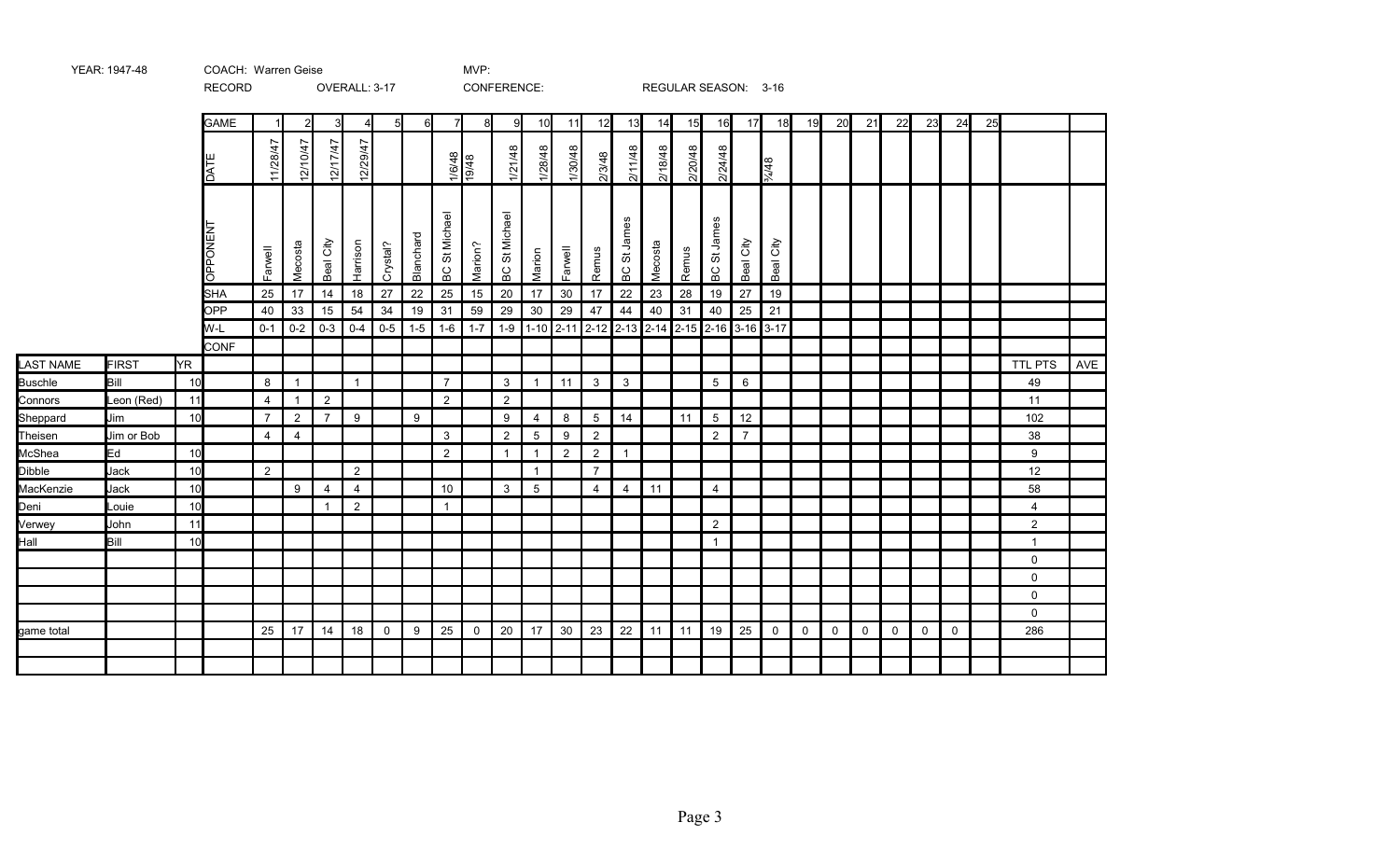|                |              |           | <b>RECORD</b>                        |                |                |                | OVERALL: 3-17  |                  |               |                         |               | CONFERENCE:      |                 |                |                |                                                  |         |         | REGULAR SEASON: 3-16                               |                |              |              |             |             |              |              |             |    |                |     |
|----------------|--------------|-----------|--------------------------------------|----------------|----------------|----------------|----------------|------------------|---------------|-------------------------|---------------|------------------|-----------------|----------------|----------------|--------------------------------------------------|---------|---------|----------------------------------------------------|----------------|--------------|--------------|-------------|-------------|--------------|--------------|-------------|----|----------------|-----|
|                |              |           | <b>GAME</b>                          |                | $\overline{2}$ | 31             | 4 <sub>l</sub> | $5 \blacksquare$ | 6             | 7                       | 8             | 9                | 10              | 11             | 12             | 13                                               | 14      | 15      | 16                                                 | 17             | 18           | 19           | 20          | 21          | 22           | 23           | 24          | 25 |                |     |
|                |              |           | DATI                                 | 11/28/47       | 12/10/47       | 12/17/47       | 12/29/47       |                  |               |                         | 1/6/48        | 1/21/48          | 1/28/48         | 1/30/48        | 2/3/48         | 2/11/48                                          | 2/18/48 | 2/20/48 | 2/24/48                                            |                | 84/48        |              |             |             |              |              |             |    |                |     |
|                |              |           | <b>PONENT</b><br>$\overline{\sigma}$ | Farwell        | Mecosta        | Beal City      | Harrison       | Crystal?         | Blanchard     | St Michael<br>6C        | Marion?       | St Michael<br>5C | Marion          | Farwell        | Remus          | James<br>$\overleftrightarrow{\mathrm{o}}$<br>ВC | Mecosta | Remus   | St James<br>BC                                     | Beal City      | City<br>Beal |              |             |             |              |              |             |    |                |     |
|                |              |           | <b>SHA</b><br>OPP                    | 25             | 17             | 14             | 18<br>54       | 27<br>34         | 22            | 25<br>31                | 15            | 20<br>29         | 17              | 30             | 17             | 22                                               | 23      | 28      | 19                                                 | 27             | 19           |              |             |             |              |              |             |    |                |     |
|                |              |           | W-L                                  | 40<br>$0 - 1$  | 33<br>$0-2$    | 15<br>$0 - 3$  | $0 - 4$        | $0-5$            | 19<br>$1 - 5$ | $1 - 6$                 | 59<br>$1 - 7$ | $1 - 9$          | 30              | 29             | 47             | 44                                               | 40      | 31      | 40<br>1-10 2-11 2-12 2-13 2-14 2-15 2-16 3-16 3-17 | 25             | 21           |              |             |             |              |              |             |    |                |     |
|                |              |           | <b>CONF</b>                          |                |                |                |                |                  |               |                         |               |                  |                 |                |                |                                                  |         |         |                                                    |                |              |              |             |             |              |              |             |    |                |     |
| LAST NAME      | <b>FIRST</b> | <b>YR</b> |                                      |                |                |                |                |                  |               |                         |               |                  |                 |                |                |                                                  |         |         |                                                    |                |              |              |             |             |              |              |             |    | <b>TTL PTS</b> | AVE |
| <b>Buschle</b> | Bill         | 10        |                                      | 8              | $\mathbf{1}$   |                | $\mathbf{1}$   |                  |               | $\overline{7}$          |               | 3                | $\overline{1}$  | 11             | $\mathbf{3}$   | $\mathbf{3}$                                     |         |         | $5\phantom{.0}$                                    | $\,6\,$        |              |              |             |             |              |              |             |    | 49             |     |
| Connors        | Leon (Red)   | 11        |                                      | $\overline{4}$ | $\mathbf{1}$   | $\overline{2}$ |                |                  |               | 2                       |               | $\overline{c}$   |                 |                |                |                                                  |         |         |                                                    |                |              |              |             |             |              |              |             |    | 11             |     |
| Sheppard       | Jim          | 10        |                                      | $\overline{7}$ | $\overline{2}$ | $\overline{7}$ | 9              |                  | 9             |                         |               | 9                | 4               | 8              | 5              | 14                                               |         | 11      | 5                                                  | 12             |              |              |             |             |              |              |             |    | 102            |     |
| Theisen        | Jim or Bob   |           |                                      | $\overline{4}$ | $\overline{4}$ |                |                |                  |               | 3                       |               | 2                | $5\overline{)}$ | 9              | $\overline{2}$ |                                                  |         |         | $\overline{2}$                                     | $\overline{7}$ |              |              |             |             |              |              |             |    | 38             |     |
| McShea         | Ed           | 10        |                                      |                |                |                |                |                  |               | $\overline{2}$          |               | $\mathbf{1}$     | $\overline{1}$  | $\overline{2}$ | $\overline{2}$ | $\overline{1}$                                   |         |         |                                                    |                |              |              |             |             |              |              |             |    | 9              |     |
| Dibble         | Jack         | 10        |                                      | $\overline{2}$ |                |                | $\overline{2}$ |                  |               |                         |               |                  | $\overline{1}$  |                | $\overline{7}$ |                                                  |         |         |                                                    |                |              |              |             |             |              |              |             |    | 12             |     |
| MacKenzie      | Jack         | 10        |                                      |                | 9              | 4              | $\overline{4}$ |                  |               | 10                      |               | 3                | 5               |                | $\overline{4}$ | 4                                                | 11      |         | 4                                                  |                |              |              |             |             |              |              |             |    | 58             |     |
| Deni           | Louie        | 10        |                                      |                |                | $\mathbf{1}$   | $\overline{2}$ |                  |               | $\overline{\mathbf{1}}$ |               |                  |                 |                |                |                                                  |         |         |                                                    |                |              |              |             |             |              |              |             |    | $\overline{4}$ |     |
| Verwey         | John         | 11        |                                      |                |                |                |                |                  |               |                         |               |                  |                 |                |                |                                                  |         |         | $\overline{2}$                                     |                |              |              |             |             |              |              |             |    | $\overline{a}$ |     |
| Hall           | Bill         | 10        |                                      |                |                |                |                |                  |               |                         |               |                  |                 |                |                |                                                  |         |         | $\mathbf 1$                                        |                |              |              |             |             |              |              |             |    | $\overline{1}$ |     |
|                |              |           |                                      |                |                |                |                |                  |               |                         |               |                  |                 |                |                |                                                  |         |         |                                                    |                |              |              |             |             |              |              |             |    | 0              |     |
|                |              |           |                                      |                |                |                |                |                  |               |                         |               |                  |                 |                |                |                                                  |         |         |                                                    |                |              |              |             |             |              |              |             |    | 0              |     |
|                |              |           |                                      |                |                |                |                |                  |               |                         |               |                  |                 |                |                |                                                  |         |         |                                                    |                |              |              |             |             |              |              |             |    | $\mathbf 0$    |     |
|                |              |           |                                      |                |                |                |                |                  |               |                         |               |                  |                 |                |                |                                                  |         |         |                                                    |                |              |              |             |             |              |              |             |    | 0              |     |
| game total     |              |           |                                      | 25             | 17             | 14             | 18             | $\mathbf 0$      | 9             | 25                      | 0             | 20               | 17              | 30             | 23             | 22                                               | 11      | 11      | 19                                                 | 25             | $\mathbf 0$  | $\mathsf{O}$ | $\mathbf 0$ | $\mathbf 0$ | $\mathsf{O}$ | $\mathsf{O}$ | $\mathbf 0$ |    | 286            |     |
|                |              |           |                                      |                |                |                |                |                  |               |                         |               |                  |                 |                |                |                                                  |         |         |                                                    |                |              |              |             |             |              |              |             |    |                |     |
|                |              |           |                                      |                |                |                |                |                  |               |                         |               |                  |                 |                |                |                                                  |         |         |                                                    |                |              |              |             |             |              |              |             |    |                |     |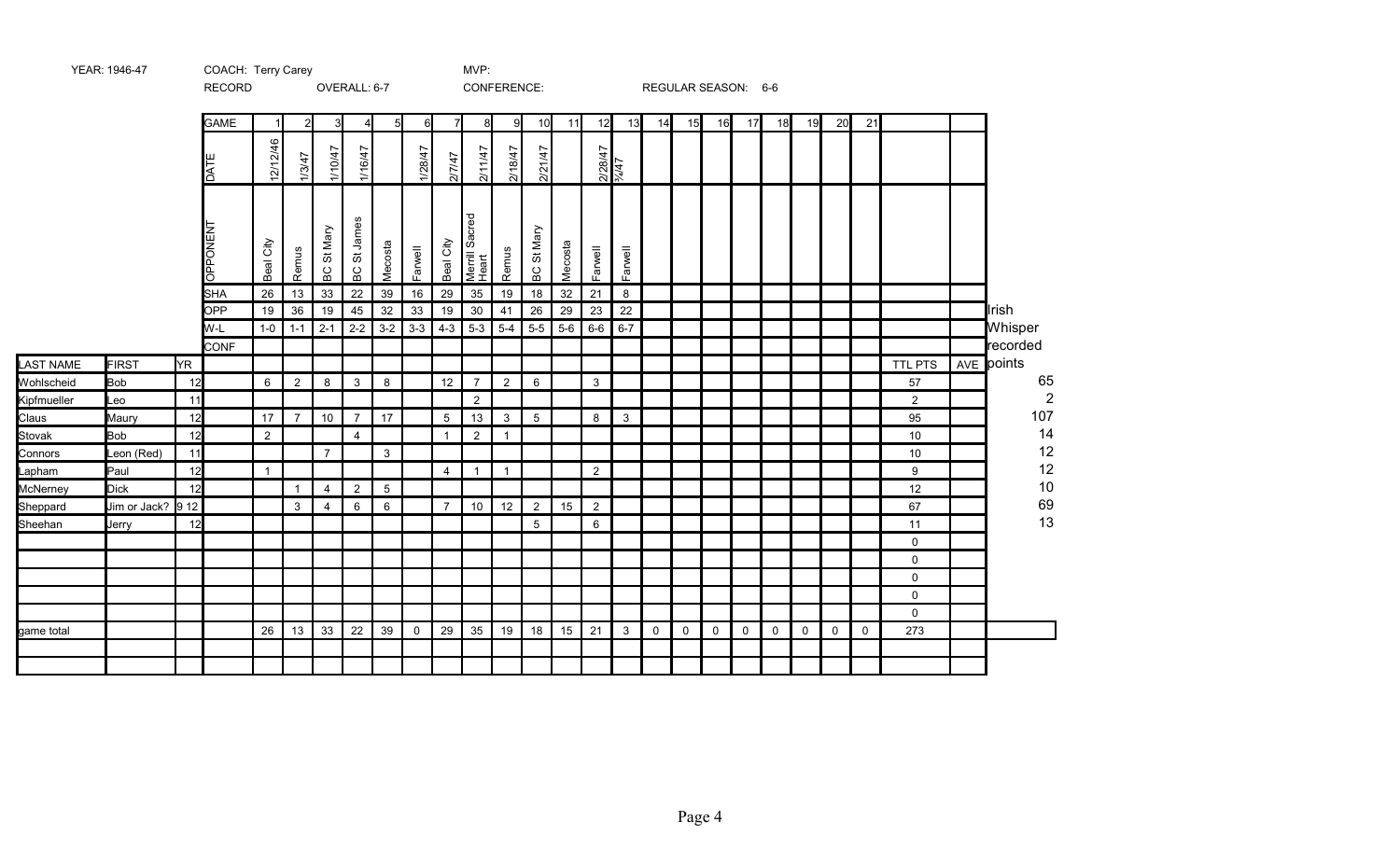|             |                                    |           | <b>RECORD</b>   |              |                |                | UVERALL. 0-1                            |                |             |                | <b>CONFERENCE.</b>      |                |            |         |                     |                 |             | REGULAR SEASUIY. 0-0 |             |             |             |             |             |             |                |                |
|-------------|------------------------------------|-----------|-----------------|--------------|----------------|----------------|-----------------------------------------|----------------|-------------|----------------|-------------------------|----------------|------------|---------|---------------------|-----------------|-------------|----------------------|-------------|-------------|-------------|-------------|-------------|-------------|----------------|----------------|
|             |                                    |           | <b>GAME</b>     | 11           | $\overline{2}$ | 3              | 4 <sup>1</sup>                          | 5 <sub>l</sub> | $6 \mid$    | 71             | 8 <sup>1</sup>          | 9              | 10         | 11      | 12                  | 13              | 14          | 15                   | 16          | 17          | 18          | 19          | 20          | 21          |                |                |
|             |                                    |           | <b>DATE</b>     | 12/12/46     | 1/3/47         | 1/10/47        | 1/16/47                                 |                | 1/28/47     | 2/7/47         | 2/11/47                 | 2/18/47        | 2/21/47    |         |                     | 2/28/47<br>%/47 |             |                      |             |             |             |             |             |             |                |                |
|             |                                    |           | <b>LN3NOddO</b> | Beal City    | Remus          | St Mary<br>6C  | James<br>$\rm \widetilde{\sigma}$<br>PC | Mecosta        | Farwell     | Beal City      | Merrill Sacred<br>Heart | Remus          | BC St Mary | Mecosta | Farwell             | Farwell         |             |                      |             |             |             |             |             |             |                |                |
|             |                                    |           | <b>SHA</b>      | 26           | 13             | 33             | 22                                      | 39             | 16          | 29             | 35                      | 19             | 18         | 32      | 21                  | 8               |             |                      |             |             |             |             |             |             |                |                |
|             |                                    |           | <b>OPP</b>      | 19           | 36             | 19             | 45                                      | 32             | 33          | 19             | 30                      | 41             | 26         | 29      | 23                  | 22              |             |                      |             |             |             |             |             |             |                | <b>I</b> lrish |
|             |                                    |           | W-L             | $1-0$        | $1 - 1$        | $2 - 1$        | $2 - 2$                                 | $3-2$          | $3 - 3$     | $4 - 3$        | $5-3$                   | $5-4$          | $5-5$      | $5-6$   | $6-6$               | $6 - 7$         |             |                      |             |             |             |             |             |             |                | Whisper        |
|             |                                    |           | <b>CONF</b>     |              |                |                |                                         |                |             |                |                         |                |            |         |                     |                 |             |                      |             |             |             |             |             |             |                | recorded       |
| LAST NAME   | <b>FIRST</b>                       | <b>YR</b> |                 |              |                |                |                                         |                |             |                |                         |                |            |         |                     |                 |             |                      |             |             |             |             |             |             | TTL PTS        | AVE points     |
| Wohlscheid  | <b>Bob</b>                         | 12        |                 | 6            | $\overline{2}$ | 8              | 3                                       | 8              |             | 12             | $\overline{7}$          | $\overline{2}$ | 6          |         | 3                   |                 |             |                      |             |             |             |             |             |             | 57             | 65             |
| Kipfmueller | Leo                                | 11        |                 |              |                |                |                                         |                |             |                | $\overline{2}$          |                |            |         |                     |                 |             |                      |             |             |             |             |             |             | $\overline{2}$ | $\overline{2}$ |
| Claus       | Maury                              | 12        |                 | 17           | $\overline{7}$ | 10             | $\overline{7}$                          | 17             |             | 5              | 13                      | $\mathsf 3$    | 5          |         | 8                   | $\mathbf{3}$    |             |                      |             |             |             |             |             |             | 95             | $107$          |
| Stovak      | <b>Bob</b>                         | 12        |                 | 2            |                |                | $\overline{4}$                          |                |             | $\mathbf{1}$   | 2                       | $\mathbf{1}$   |            |         |                     |                 |             |                      |             |             |             |             |             |             | 10             | 14             |
| Connors     | Leon (Red)                         | 11        |                 |              |                | $\overline{7}$ |                                         | 3              |             |                |                         |                |            |         |                     |                 |             |                      |             |             |             |             |             |             | 10             | 12<br>12       |
| Lapham      | Paul                               | 12        |                 | $\mathbf{1}$ |                |                |                                         |                |             | $\overline{4}$ | $\mathbf{1}$            | $\mathbf{1}$   |            |         | 2                   |                 |             |                      |             |             |             |             |             |             | 9              | 10             |
| McNerney    | <b>Dick</b>                        | 12        |                 |              | $\mathbf{1}$   | $\overline{4}$ | $\overline{2}$                          | 5              |             | $\overline{7}$ |                         | 12             |            |         |                     |                 |             |                      |             |             |             |             |             |             | 12<br>67       | 69             |
| Sheppard    | Jim or Jack? $\vert$ 9 12<br>Jerry | 12        |                 |              | 3              | 4              | 6                                       | 6              |             |                | 10                      |                | 2<br>5     | 15      | $\overline{2}$<br>6 |                 |             |                      |             |             |             |             |             |             | 11             | 13             |
| Sheehan     |                                    |           |                 |              |                |                |                                         |                |             |                |                         |                |            |         |                     |                 |             |                      |             |             |             |             |             |             | $\mathbf 0$    |                |
|             |                                    |           |                 |              |                |                |                                         |                |             |                |                         |                |            |         |                     |                 |             |                      |             |             |             |             |             |             | $\mathbf 0$    |                |
|             |                                    |           |                 |              |                |                |                                         |                |             |                |                         |                |            |         |                     |                 |             |                      |             |             |             |             |             |             | 0              |                |
|             |                                    |           |                 |              |                |                |                                         |                |             |                |                         |                |            |         |                     |                 |             |                      |             |             |             |             |             |             | $\mathbf 0$    |                |
|             |                                    |           |                 |              |                |                |                                         |                |             |                |                         |                |            |         |                     |                 |             |                      |             |             |             |             |             |             | $\mathbf 0$    |                |
| game total  |                                    |           |                 | 26           | 13             | 33             | 22                                      | 39             | $\mathbf 0$ | 29             | 35                      | 19             | 18         | 15      | 21                  | $\mathbf{3}$    | $\mathbf 0$ | $\mathbf 0$          | $\mathbf 0$ | $\mathbf 0$ | $\mathbf 0$ | $\mathbf 0$ | $\mathbf 0$ | $\mathbf 0$ | 273            |                |
|             |                                    |           |                 |              |                |                |                                         |                |             |                |                         |                |            |         |                     |                 |             |                      |             |             |             |             |             |             |                |                |
|             |                                    |           |                 |              |                |                |                                         |                |             |                |                         |                |            |         |                     |                 |             |                      |             |             |             |             |             |             |                |                |
|             |                                    |           |                 |              |                |                |                                         |                |             |                |                         |                |            |         |                     |                 |             |                      |             |             |             |             |             |             |                |                |

RECORD OVERALL: 6-7 CONFERENCE: REGULAR SEASON: 6-6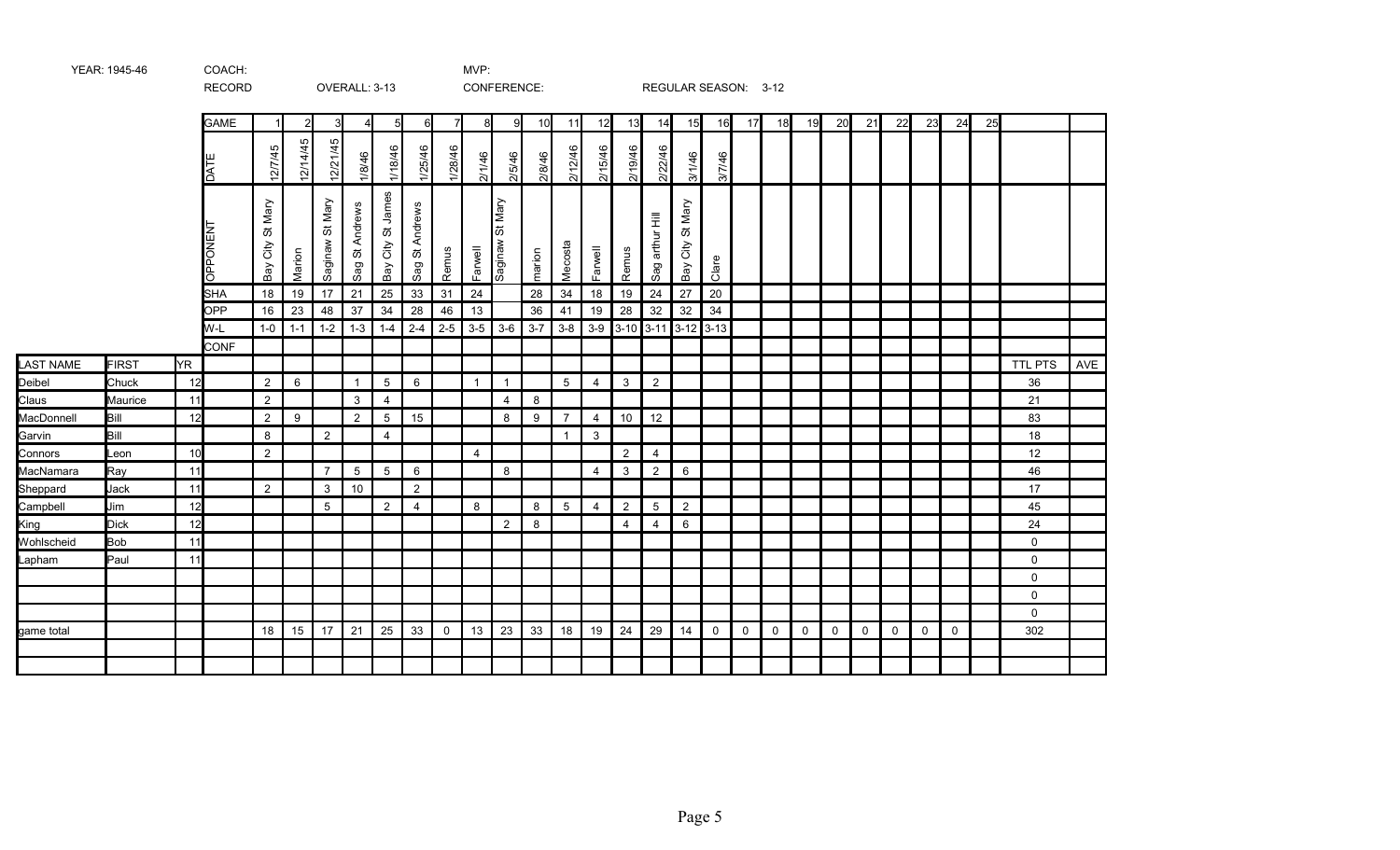|                  |              |     | <b>RECORD</b>   |                        |          |                    | OVERALL: 3-13   |                      |                     |             |                | CONFERENCE:        |         |                |                |                 |                    |                           | REGULAR SEASON: 3-12 |             |             |             |             |             |             |              |             |    |                |     |
|------------------|--------------|-----|-----------------|------------------------|----------|--------------------|-----------------|----------------------|---------------------|-------------|----------------|--------------------|---------|----------------|----------------|-----------------|--------------------|---------------------------|----------------------|-------------|-------------|-------------|-------------|-------------|-------------|--------------|-------------|----|----------------|-----|
|                  |              |     | <b>GAME</b>     |                        | っ        | 3                  | 4               | 5                    | 6                   | 7           | 8              | 91                 | 10      | 11             | 12             | 13              | 14                 | 15                        | 16                   | 17          | 18          | 19          | 20          | 21          | 22          | 23           | 24          | 25 |                |     |
|                  |              |     | DATE            | 12/7/45                | 12/14/45 | 12/21/45           | 1/8/46          | 1/18/46              | 1/25/46             | 1/28/46     | 2/1/46         | 2/5/46             | 2/8/46  | 2/12/46        | 2/15/46        | 2/19/46         | 2/22/46            | 3/1/46                    | 3/7/46               |             |             |             |             |             |             |              |             |    |                |     |
|                  |              |     | <b>DPPONENT</b> | St Mary<br>City<br>Bay | Marion   | St Mary<br>saginaw | Sag St Andrews  | City St James<br>keg | Andrews<br>ö<br>Sag | Remus       | Farwell        | St Mary<br>wanipas | marion  | Mecosta        | Farwell        | Remus           | arthur Hill<br>Sag | St Mary<br>City<br>Bay    | Clare                |             |             |             |             |             |             |              |             |    |                |     |
|                  |              |     | <b>SHA</b>      | 18                     | 19       | 17                 | 21              | 25                   | 33                  | 31          | 24             |                    | 28      | 34             | 18             | 19              | 24                 | 27                        | 20                   |             |             |             |             |             |             |              |             |    |                |     |
|                  |              |     | OPP             | 16                     | 23       | 48                 | 37              | 34                   | 28                  | 46          | 13             |                    | 36      | 41             | 19             | 28              | 32                 | 32                        | 34                   |             |             |             |             |             |             |              |             |    |                |     |
|                  |              |     | W-L             | $1-0$                  | $1 - 1$  | $1 - 2$            | $1-3$           | $1 - 4$              | $2 - 4$             | $2 - 5$     | $3-5$          | $3-6$              | $3 - 7$ | $3 - 8$        |                |                 |                    | $3-9$ 3-10 3-11 3-12 3-13 |                      |             |             |             |             |             |             |              |             |    |                |     |
| <b>LAST NAME</b> | <b>FIRST</b> | YR. | <b>CONF</b>     |                        |          |                    |                 |                      |                     |             |                |                    |         |                |                |                 |                    |                           |                      |             |             |             |             |             |             |              |             |    | <b>TTL PTS</b> | AVE |
| Deibel           | Chuck        | 12  |                 | 2                      | 6        |                    | $\overline{1}$  | $5\phantom{.0}$      | 6                   |             | $\overline{1}$ | $\overline{1}$     |         | 5              | $\overline{4}$ | 3               | $\overline{2}$     |                           |                      |             |             |             |             |             |             |              |             |    | 36             |     |
| Claus            | Maurice      | 11  |                 | 2                      |          |                    | $\mathbf{3}$    | $\overline{4}$       |                     |             |                | 4                  | 8       |                |                |                 |                    |                           |                      |             |             |             |             |             |             |              |             |    | 21             |     |
| MacDonnell       | Bill         | 12  |                 | $\overline{2}$         | 9        |                    | $\overline{2}$  | $\overline{5}$       | 15                  |             |                | 8                  | 9       | $\overline{7}$ | $\overline{4}$ | 10 <sub>1</sub> | 12                 |                           |                      |             |             |             |             |             |             |              |             |    | 83             |     |
| Garvin           | Bill         |     |                 | 8                      |          | $\overline{2}$     |                 | $\overline{4}$       |                     |             |                |                    |         | $\mathbf{1}$   | 3              |                 |                    |                           |                      |             |             |             |             |             |             |              |             |    | 18             |     |
| Connors          | Leon         | 10  |                 | 2                      |          |                    |                 |                      |                     |             | $\overline{4}$ |                    |         |                |                | $\overline{2}$  | $\overline{4}$     |                           |                      |             |             |             |             |             |             |              |             |    | 12             |     |
| MacNamara        | Ray          | 11  |                 |                        |          | $\overline{7}$     | $5\phantom{.0}$ | $5\overline{)}$      | 6                   |             |                | 8                  |         |                | $\overline{4}$ | 3               | $\overline{2}$     | $6\phantom{1}$            |                      |             |             |             |             |             |             |              |             |    | 46             |     |
| Sheppard         | Jack         | 11  |                 | $\overline{2}$         |          | 3                  | 10              |                      | 2                   |             |                |                    |         |                |                |                 |                    |                           |                      |             |             |             |             |             |             |              |             |    | 17             |     |
| Campbell         | Jim          | 12  |                 |                        |          | 5                  |                 | $\overline{2}$       | $\overline{4}$      |             | 8              |                    | 8       | 5              | $\overline{4}$ | $\overline{2}$  | 5                  | 2                         |                      |             |             |             |             |             |             |              |             |    | 45             |     |
| King             | <b>Dick</b>  | 12  |                 |                        |          |                    |                 |                      |                     |             |                | $\overline{2}$     | 8       |                |                | $\overline{4}$  | $\overline{4}$     | $6\phantom{.}6$           |                      |             |             |             |             |             |             |              |             |    | 24             |     |
| Wohlscheid       | <b>Bob</b>   | 11  |                 |                        |          |                    |                 |                      |                     |             |                |                    |         |                |                |                 |                    |                           |                      |             |             |             |             |             |             |              |             |    | $\mathbf 0$    |     |
| Lapham           | Paul         | 11  |                 |                        |          |                    |                 |                      |                     |             |                |                    |         |                |                |                 |                    |                           |                      |             |             |             |             |             |             |              |             |    | $\mathbf 0$    |     |
|                  |              |     |                 |                        |          |                    |                 |                      |                     |             |                |                    |         |                |                |                 |                    |                           |                      |             |             |             |             |             |             |              |             |    | 0              |     |
|                  |              |     |                 |                        |          |                    |                 |                      |                     |             |                |                    |         |                |                |                 |                    |                           |                      |             |             |             |             |             |             |              |             |    | 0              |     |
|                  |              |     |                 |                        |          |                    |                 |                      |                     |             |                |                    |         |                |                |                 |                    |                           |                      |             |             |             |             |             |             |              |             |    | $\mathsf{O}$   |     |
| game total       |              |     |                 | 18                     | 15       | 17                 | 21              | 25                   | 33                  | $\mathbf 0$ | 13             | 23                 | 33      | 18             | 19             | 24              | 29                 | 14                        | $\mathbf 0$          | $\mathbf 0$ | $\mathbf 0$ | $\mathbf 0$ | $\mathbf 0$ | $\mathbf 0$ | $\mathbf 0$ | $\mathsf{O}$ | $\mathbf 0$ |    | 302            |     |
|                  |              |     |                 |                        |          |                    |                 |                      |                     |             |                |                    |         |                |                |                 |                    |                           |                      |             |             |             |             |             |             |              |             |    |                |     |
|                  |              |     |                 |                        |          |                    |                 |                      |                     |             |                |                    |         |                |                |                 |                    |                           |                      |             |             |             |             |             |             |              |             |    |                |     |

YEAR: 1945-46 COACH: COACH: MVP: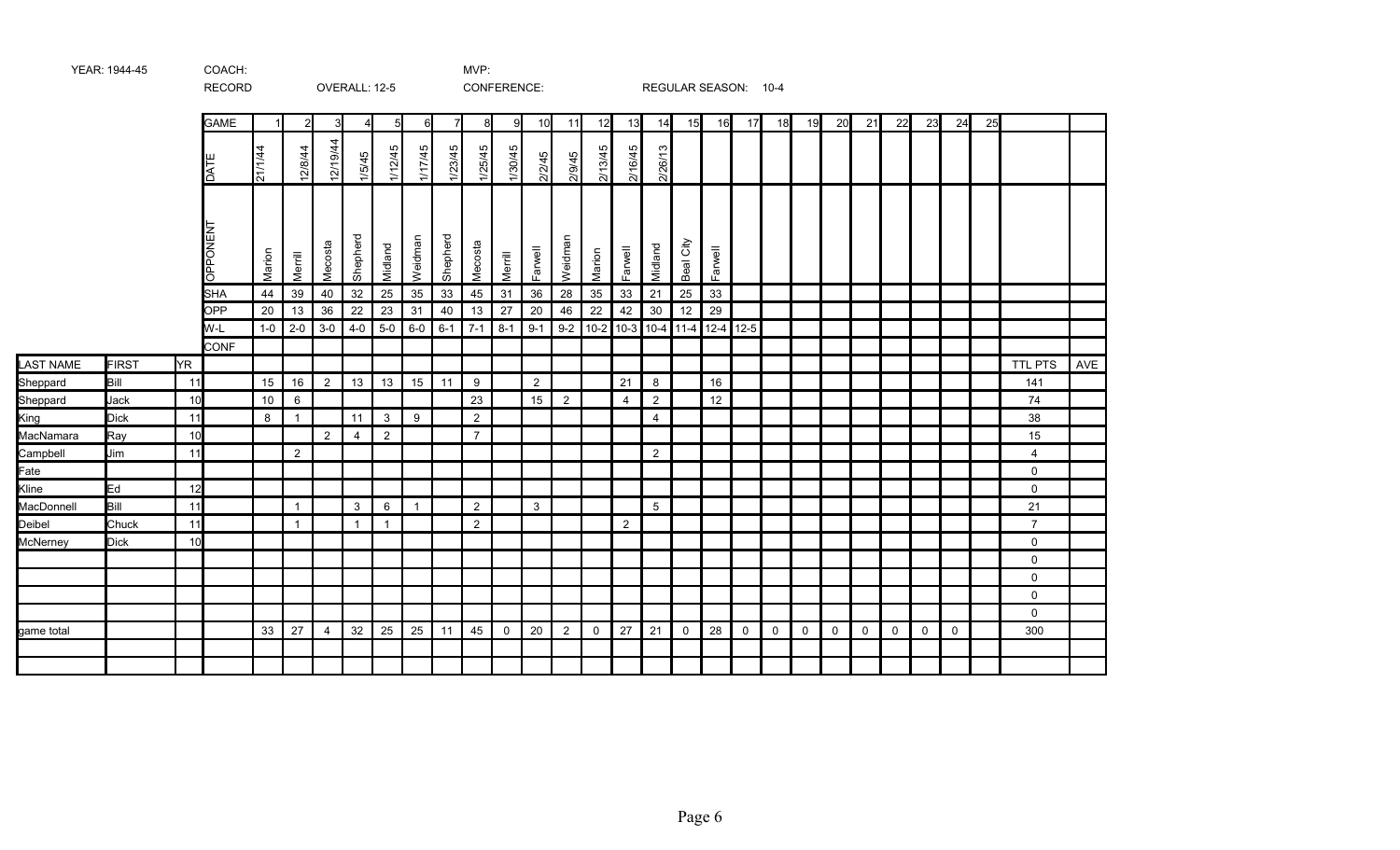|            |              |           | <b>RECORD</b>         |              |                |                | OVERALL: 12-5  |                  |                |                |                | CONFERENCE:   |               |                |              |                |                |                    | REGULAR SEASON: 10-4          |             |    |             |    |              |             |    |              |    |                |     |
|------------|--------------|-----------|-----------------------|--------------|----------------|----------------|----------------|------------------|----------------|----------------|----------------|---------------|---------------|----------------|--------------|----------------|----------------|--------------------|-------------------------------|-------------|----|-------------|----|--------------|-------------|----|--------------|----|----------------|-----|
|            |              |           | <b>GAME</b>           |              | $\mathbf{2}$   | 3 <sup>l</sup> | 41             | $5 \blacksquare$ | 6              | $\overline{7}$ | 8              | 9             | 10            | 11             | 12           | 13             | 14             | 15                 | 16                            | 17          | 18 | 19          | 20 | 21           | 22          | 23 | 24           | 25 |                |     |
|            |              |           | <b>JATE</b>           | 7711144      | 12/8/44        | 12/19/44       | 1/5/45         | 1/12/45          | 1/17/45        | 1/23/45        | 1/25/45        | 1/30/45       | 2/2/45        | 2/9/45         | 2/13/45      | 2/16/45        | 2/26/13        |                    |                               |             |    |             |    |              |             |    |              |    |                |     |
|            |              |           | <b>OPPONEN</b><br>SHA | Marion<br>44 | Merrill<br>39  | Mecosta<br>40  | Shepherd<br>32 | Midland<br>25    | Weidman<br>35  | Shepherd<br>33 | Mecosta<br>45  | Merrill<br>31 | Farwell<br>36 | Weidman<br>28  | Marion<br>35 | Farwell        | Midland<br>21  | City<br>Beal<br>25 | Farwell<br>33                 |             |    |             |    |              |             |    |              |    |                |     |
|            |              |           | OPP                   | 20           | 13             | 36             | 22             | 23               | 31             | 40             | 13             | 27            | 20            | 46             | 22           | 33<br>42       | $30\,$         | 12                 | 29                            |             |    |             |    |              |             |    |              |    |                |     |
|            |              |           | W-L                   | $1-0$        | $2 - 0$        | $3-0$          | $4-0$          | $5-0$            | $6-0$          | $6 - 1$        | $7 - 1$        | $8 - 1$       | $9 - 1$       | $9 - 2$        |              |                |                |                    | 10-2 10-3 10-4 11-4 12-4 12-5 |             |    |             |    |              |             |    |              |    |                |     |
|            |              |           | <b>CONF</b>           |              |                |                |                |                  |                |                |                |               |               |                |              |                |                |                    |                               |             |    |             |    |              |             |    |              |    |                |     |
| LAST NAME  | <b>FIRST</b> | <b>YR</b> |                       |              |                |                |                |                  |                |                |                |               |               |                |              |                |                |                    |                               |             |    |             |    |              |             |    |              |    | TTL PTS        | AVE |
| Sheppard   | Bill         | 11        |                       | 15           | 16             | $\overline{2}$ | 13             | 13               | 15             | 11             | 9              |               | 2             |                |              | 21             | 8              |                    | 16                            |             |    |             |    |              |             |    |              |    | 141            |     |
| Sheppard   | Jack         | 10        |                       | 10           | 6              |                |                |                  |                |                | 23             |               | 15            | $\overline{2}$ |              | $\overline{4}$ | $\overline{2}$ |                    | 12                            |             |    |             |    |              |             |    |              |    | 74             |     |
| King       | <b>Dick</b>  | 11        |                       | 8            | $\mathbf{1}$   |                | 11             | $\mathbf{3}$     | 9              |                | 2              |               |               |                |              |                | $\overline{4}$ |                    |                               |             |    |             |    |              |             |    |              |    | 38             |     |
| MacNamara  | Ray          | 10        |                       |              |                | $\overline{2}$ | 4              | $\overline{2}$   |                |                | $\overline{7}$ |               |               |                |              |                |                |                    |                               |             |    |             |    |              |             |    |              |    | 15             |     |
| Campbell   | Jim          | 11        |                       |              | $\overline{2}$ |                |                |                  |                |                |                |               |               |                |              |                | $\overline{2}$ |                    |                               |             |    |             |    |              |             |    |              |    | 4              |     |
| Fate       |              |           |                       |              |                |                |                |                  |                |                |                |               |               |                |              |                |                |                    |                               |             |    |             |    |              |             |    |              |    | $\mathbf 0$    |     |
| Kline      | Ed           | 12        |                       |              |                |                |                |                  |                |                |                |               |               |                |              |                |                |                    |                               |             |    |             |    |              |             |    |              |    | $\mathbf 0$    |     |
| MacDonnell | Bill         | 11        |                       |              | $\mathbf{1}$   |                | $\mathbf{3}$   | $6\phantom{.}6$  | $\overline{1}$ |                | 2              |               | $\mathbf{3}$  |                |              |                | 5 <sup>5</sup> |                    |                               |             |    |             |    |              |             |    |              |    | 21             |     |
| Deibel     | Chuck        | 11        |                       |              | $\mathbf{1}$   |                | $\mathbf{1}$   | $\overline{1}$   |                |                | 2              |               |               |                |              | 2              |                |                    |                               |             |    |             |    |              |             |    |              |    | $\overline{7}$ |     |
| McNerney   | <b>Dick</b>  | 10        |                       |              |                |                |                |                  |                |                |                |               |               |                |              |                |                |                    |                               |             |    |             |    |              |             |    |              |    | 0              |     |
|            |              |           |                       |              |                |                |                |                  |                |                |                |               |               |                |              |                |                |                    |                               |             |    |             |    |              |             |    |              |    | 0              |     |
|            |              |           |                       |              |                |                |                |                  |                |                |                |               |               |                |              |                |                |                    |                               |             |    |             |    |              |             |    |              |    | $\mathbf 0$    |     |
|            |              |           |                       |              |                |                |                |                  |                |                |                |               |               |                |              |                |                |                    |                               |             |    |             |    |              |             |    |              |    | $\mathbf 0$    |     |
|            |              |           |                       |              |                |                |                |                  |                |                |                |               |               |                |              |                |                |                    |                               |             |    |             |    |              |             |    |              |    | $\mathbf 0$    |     |
| game total |              |           |                       | 33           | 27             | 4              | 32             | 25               | 25             | 11             | 45             | 0             | 20            | $\overline{2}$ | 0            | 27             | 21             | 0                  | 28                            | $\mathbf 0$ | 0  | $\mathbf 0$ | 0  | $\mathsf{O}$ | $\mathbf 0$ | 0  | $\mathsf{O}$ |    | 300            |     |
|            |              |           |                       |              |                |                |                |                  |                |                |                |               |               |                |              |                |                |                    |                               |             |    |             |    |              |             |    |              |    |                |     |
|            |              |           |                       |              |                |                |                |                  |                |                |                |               |               |                |              |                |                |                    |                               |             |    |             |    |              |             |    |              |    |                |     |

YEAR: 1944-45 COACH: COACH: MVP: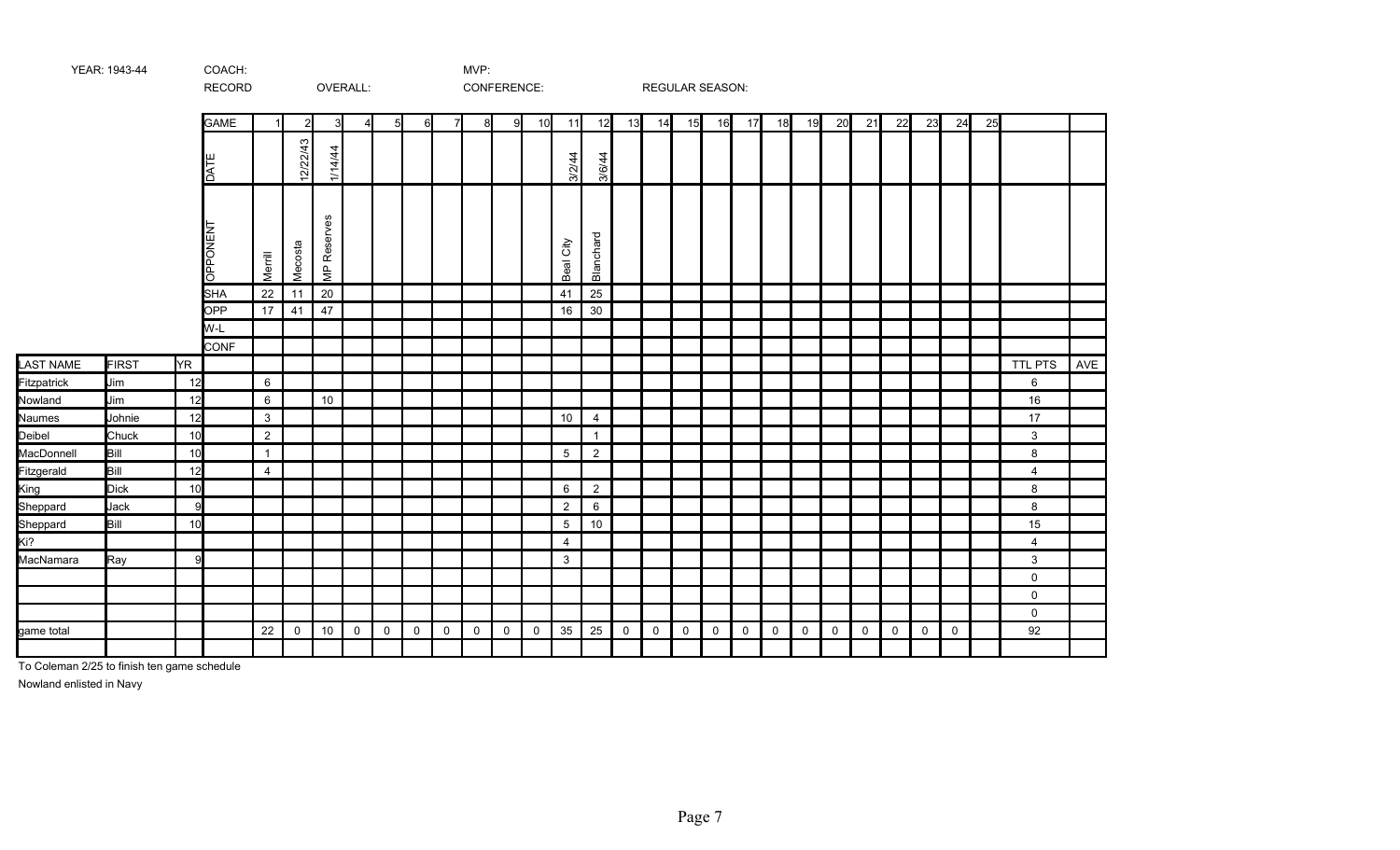|                    |              |     | RECORD          |                 |               |                          | OVERALL: |                |             |    |              | CONFERENCE: |    |                |                |             | <b>REGULAR SEASON:</b> |             |             |             |    |             |    |              |             |             |             |    |                |     |
|--------------------|--------------|-----|-----------------|-----------------|---------------|--------------------------|----------|----------------|-------------|----|--------------|-------------|----|----------------|----------------|-------------|------------------------|-------------|-------------|-------------|----|-------------|----|--------------|-------------|-------------|-------------|----|----------------|-----|
|                    |              |     | <b>GAME</b>     |                 | $\mathcal{P}$ |                          |          | 5 <sup>1</sup> | 6I          | 71 | 8            | 9           | 10 | 11             | 12             | 13          | 14                     | 15          | 16          | 17          | 18 | 19          | 20 | 21           | 22          | 23          | 24          | 25 |                |     |
|                    |              |     | DATE            |                 | 12/22/43      | 1/14/44                  |          |                |             |    |              |             |    | 3/2/44         | 3/6/44         |             |                        |             |             |             |    |             |    |              |             |             |             |    |                |     |
|                    |              |     | <b>OPPONENT</b> | Merrill         | Mecosta       | Reserves<br>$\mathsf{P}$ |          |                |             |    |              |             |    | Beal City      | Blanchard      |             |                        |             |             |             |    |             |    |              |             |             |             |    |                |     |
|                    |              |     | <b>SHA</b>      | 22              | 11            | 20                       |          |                |             |    |              |             |    | 41             | 25             |             |                        |             |             |             |    |             |    |              |             |             |             |    |                |     |
|                    |              |     | OPP             | 17              | 41            | 47                       |          |                |             |    |              |             |    | 16             | 30             |             |                        |             |             |             |    |             |    |              |             |             |             |    |                |     |
|                    |              |     | W-L             |                 |               |                          |          |                |             |    |              |             |    |                |                |             |                        |             |             |             |    |             |    |              |             |             |             |    |                |     |
|                    |              |     | <b>CONF</b>     |                 |               |                          |          |                |             |    |              |             |    |                |                |             |                        |             |             |             |    |             |    |              |             |             |             |    |                |     |
| <b>LAST NAME</b>   | <b>FIRST</b> | YR. |                 |                 |               |                          |          |                |             |    |              |             |    |                |                |             |                        |             |             |             |    |             |    |              |             |             |             |    | <b>TTL PTS</b> | AVE |
| <b>Fitzpatrick</b> | Jim          | 12  |                 | $6\phantom{.}6$ |               |                          |          |                |             |    |              |             |    |                |                |             |                        |             |             |             |    |             |    |              |             |             |             |    | 6              |     |
| Nowland            | Jim          | 12  |                 | $6\phantom{.}6$ |               | 10                       |          |                |             |    |              |             |    |                |                |             |                        |             |             |             |    |             |    |              |             |             |             |    | 16             |     |
| Naumes             | Johnie       | 12  |                 | $\mathbf{3}$    |               |                          |          |                |             |    |              |             |    | 10             | $\overline{4}$ |             |                        |             |             |             |    |             |    |              |             |             |             |    | 17             |     |
| Deibel             | Chuck        | 10  |                 | $\overline{2}$  |               |                          |          |                |             |    |              |             |    |                | $\overline{1}$ |             |                        |             |             |             |    |             |    |              |             |             |             |    | 3              |     |
| MacDonnell         | Bill         | 10  |                 | $\overline{1}$  |               |                          |          |                |             |    |              |             |    | $\mathbf 5$    | $\overline{2}$ |             |                        |             |             |             |    |             |    |              |             |             |             |    | 8              |     |
| <b>Fitzgerald</b>  | Bill         | 12  |                 | $\overline{4}$  |               |                          |          |                |             |    |              |             |    |                |                |             |                        |             |             |             |    |             |    |              |             |             |             |    | $\overline{4}$ |     |
| King               | Dick         | 10  |                 |                 |               |                          |          |                |             |    |              |             |    | 6              | $\overline{2}$ |             |                        |             |             |             |    |             |    |              |             |             |             |    | 8              |     |
| Sheppard           | Jack         | 9   |                 |                 |               |                          |          |                |             |    |              |             |    | $\overline{c}$ | 6              |             |                        |             |             |             |    |             |    |              |             |             |             |    | 8              |     |
| Sheppard           | Bill         | 10  |                 |                 |               |                          |          |                |             |    |              |             |    | 5              | 10             |             |                        |             |             |             |    |             |    |              |             |             |             |    | 15             |     |
| Ki?                |              |     |                 |                 |               |                          |          |                |             |    |              |             |    | 4              |                |             |                        |             |             |             |    |             |    |              |             |             |             |    | 4              |     |
| MacNamara          | Ray          | -9  |                 |                 |               |                          |          |                |             |    |              |             |    | 3              |                |             |                        |             |             |             |    |             |    |              |             |             |             |    | 3              |     |
|                    |              |     |                 |                 |               |                          |          |                |             |    |              |             |    |                |                |             |                        |             |             |             |    |             |    |              |             |             |             |    | $\mathsf{O}$   |     |
|                    |              |     |                 |                 |               |                          |          |                |             |    |              |             |    |                |                |             |                        |             |             |             |    |             |    |              |             |             |             |    | $\mathbf 0$    |     |
|                    |              |     |                 |                 |               |                          |          |                |             |    |              |             |    |                |                |             |                        |             |             |             |    |             |    |              |             |             |             |    | $\mathbf 0$    |     |
| game total         |              |     |                 | 22              | 0             | 10                       | 0        | $\mathbf 0$    | $\mathbf 0$ | 0  | $\mathsf{O}$ | $\mathbf 0$ | 0  | 35             | 25             | $\mathbf 0$ | $\mathbf 0$            | $\mathbf 0$ | $\mathbf 0$ | $\mathbf 0$ | 0  | $\mathbf 0$ | 0  | $\mathsf{O}$ | $\mathbf 0$ | $\mathbf 0$ | $\mathbf 0$ |    | 92             |     |
|                    |              |     |                 |                 |               |                          |          |                |             |    |              |             |    |                |                |             |                        |             |             |             |    |             |    |              |             |             |             |    |                |     |

To Coleman 2/25 to finish ten game schedule

YEAR: 1943-44 COACH: COACH: MVP:

Nowland enlisted in Navy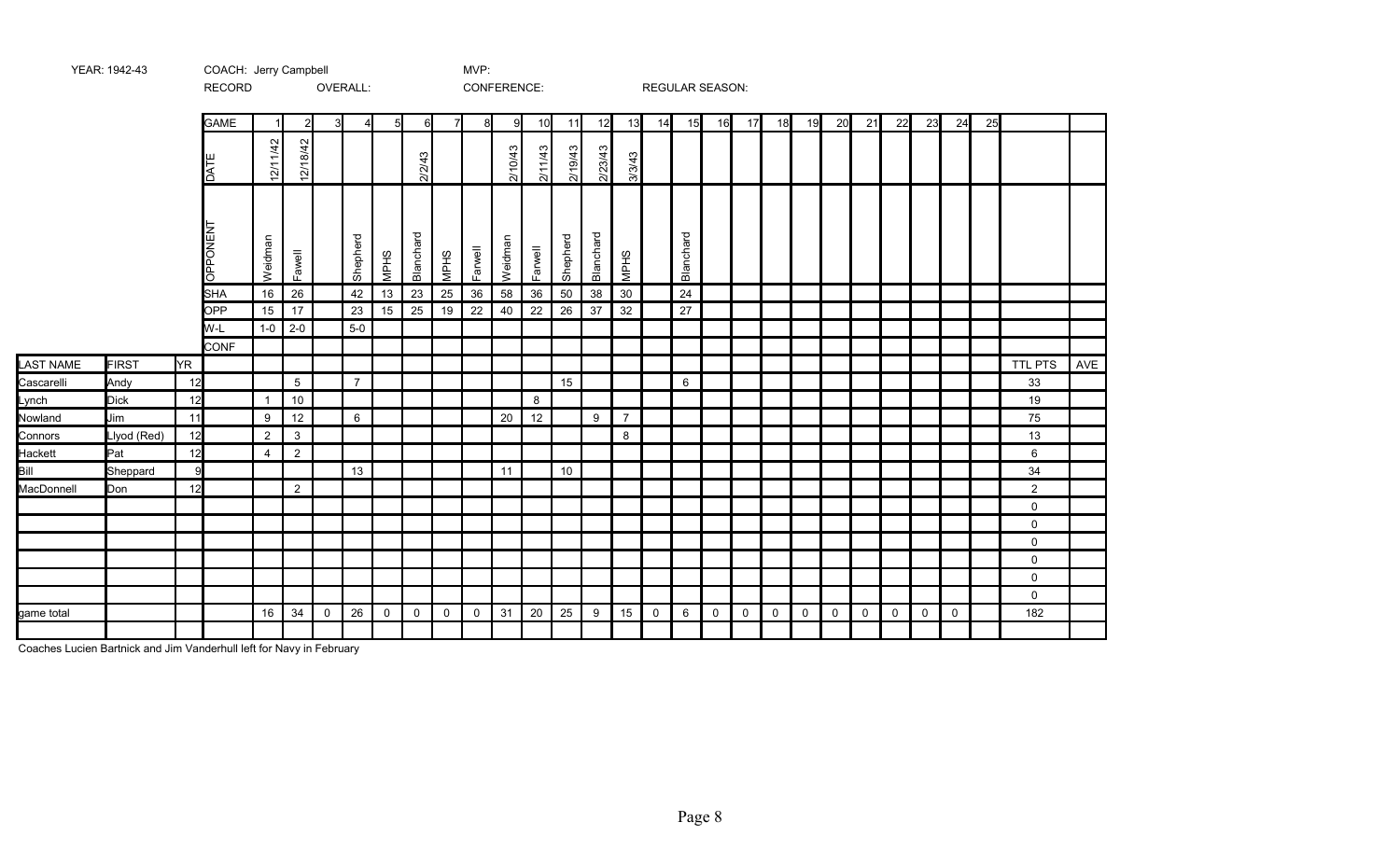|                  |              |           | RECORD             |                |                 |             | OVERALL:       |                 |             |                     | CONFERENCE: |         |         |          |           |                |             | REGULAR SEASON: |                |                |             |              |             |             |             |             |             |    |                |     |
|------------------|--------------|-----------|--------------------|----------------|-----------------|-------------|----------------|-----------------|-------------|---------------------|-------------|---------|---------|----------|-----------|----------------|-------------|-----------------|----------------|----------------|-------------|--------------|-------------|-------------|-------------|-------------|-------------|----|----------------|-----|
|                  |              |           | <b>GAME</b>        |                |                 | 3           | 4              | $5\blacksquare$ | 6           | 71                  | 8           | 9       | 10      | 11       | 12        | 13             | 14          | 15              | 16             | 17             | 18          | 19           | 20          | 21          | 22          | 23          | 24          | 25 |                |     |
|                  |              |           | DATE               | 12/11/42       | 12/18/42        |             |                |                 | 2/2/43      |                     |             | 2/10/43 | 2/11/43 | 2/19/43  | 2/23/43   | 3/3/43         |             |                 |                |                |             |              |             |             |             |             |             |    |                |     |
|                  |              |           | OPPONENT           | Weidman        | Fawell          |             | Shepherd       | <b>MPHS</b>     | Blanchard   | <b>MPHS</b>         | Farwell     | Weidman | Farwell | Shepherd | Blanchard | <b>MPHS</b>    |             | Blanchard       |                |                |             |              |             |             |             |             |             |    |                |     |
|                  |              |           | <b>SHA</b>         | 16             | 26              |             | 42             | 13              | 23          | 25                  | 36          | 58      | 36      | 50       | 38        | $30\,$         |             | 24              |                |                |             |              |             |             |             |             |             |    |                |     |
|                  |              |           | <b>OPP</b>         | 15             | 17              |             | 23             | 15              | 25          | 19                  | 22          | 40      | 22      | 26       | 37        | 32             |             | 27              |                |                |             |              |             |             |             |             |             |    |                |     |
|                  |              |           | W-L<br><b>CONF</b> | $1-0$          | $2 - 0$         |             | $5-0$          |                 |             |                     |             |         |         |          |           |                |             |                 |                |                |             |              |             |             |             |             |             |    |                |     |
| <b>LAST NAME</b> | <b>FIRST</b> | <b>YR</b> |                    |                |                 |             |                |                 |             |                     |             |         |         |          |           |                |             |                 |                |                |             |              |             |             |             |             |             |    | <b>TTL PTS</b> | AVE |
| Cascarelli       | Andy         | 12        |                    |                | $5\overline{)}$ |             | $\overline{7}$ |                 |             |                     |             |         |         | 15       |           |                |             | 6               |                |                |             |              |             |             |             |             |             |    | 33             |     |
| Lynch            | <b>Dick</b>  | 12        |                    | $\overline{1}$ | $10$            |             |                |                 |             |                     |             |         | 8       |          |           |                |             |                 |                |                |             |              |             |             |             |             |             |    | 19             |     |
| Nowland          | Jim          | 11        |                    | 9              | 12              |             | $6\phantom{1}$ |                 |             |                     |             | 20      | 12      |          | 9         | $\overline{7}$ |             |                 |                |                |             |              |             |             |             |             |             |    | 75             |     |
| Connors          | Llyod (Red)  | 12        |                    | $\overline{2}$ | $\mathbf{3}$    |             |                |                 |             |                     |             |         |         |          |           | 8              |             |                 |                |                |             |              |             |             |             |             |             |    | 13             |     |
| Hackett          | Pat          | 12        |                    | $\overline{4}$ | $\overline{2}$  |             |                |                 |             |                     |             |         |         |          |           |                |             |                 |                |                |             |              |             |             |             |             |             |    | 6              |     |
| Bill             | Sheppard     | 9         |                    |                |                 |             | 13             |                 |             |                     |             | 11      |         | 10       |           |                |             |                 |                |                |             |              |             |             |             |             |             |    | 34             |     |
| MacDonnell       | Don          | 12        |                    |                | $\overline{2}$  |             |                |                 |             |                     |             |         |         |          |           |                |             |                 |                |                |             |              |             |             |             |             |             |    | $\overline{2}$ |     |
|                  |              |           |                    |                |                 |             |                |                 |             |                     |             |         |         |          |           |                |             |                 |                |                |             |              |             |             |             |             |             |    | 0              |     |
|                  |              |           |                    |                |                 |             |                |                 |             |                     |             |         |         |          |           |                |             |                 |                |                |             |              |             |             |             |             |             |    | $\mathsf{O}$   |     |
|                  |              |           |                    |                |                 |             |                |                 |             |                     |             |         |         |          |           |                |             |                 |                |                |             |              |             |             |             |             |             |    | 0              |     |
|                  |              |           |                    |                |                 |             |                |                 |             |                     |             |         |         |          |           |                |             |                 |                |                |             |              |             |             |             |             |             |    | $\mathsf{O}$   |     |
|                  |              |           |                    |                |                 |             |                |                 |             |                     |             |         |         |          |           |                |             |                 |                |                |             |              |             |             |             |             |             |    | $\mathbf 0$    |     |
|                  |              |           |                    |                |                 |             |                |                 |             |                     |             |         |         |          |           |                |             |                 |                |                |             |              |             |             |             |             |             |    | $\mathbf 0$    |     |
| game total       |              |           |                    | 16             | 34              | $\mathbf 0$ | 26             | $\mathsf 0$     | $\mathsf 0$ | $\mathsf{O}\xspace$ | $\mathsf 0$ | 31      | 20      | 25       | 9         | 15             | $\mathbf 0$ | 6               | $\overline{0}$ | $\overline{0}$ | $\mathbf 0$ | $\mathsf{O}$ | $\mathbf 0$ | $\mathbf 0$ | $\mathbf 0$ | $\mathsf 0$ | $\mathsf 0$ |    | 182            |     |
|                  |              |           |                    |                |                 |             |                |                 |             |                     |             |         |         |          |           |                |             |                 |                |                |             |              |             |             |             |             |             |    |                |     |

Coaches Lucien Bartnick and Jim Vanderhull left for Navy in February

YEAR: 1942-43 COACH: Jerry Campbell MVP: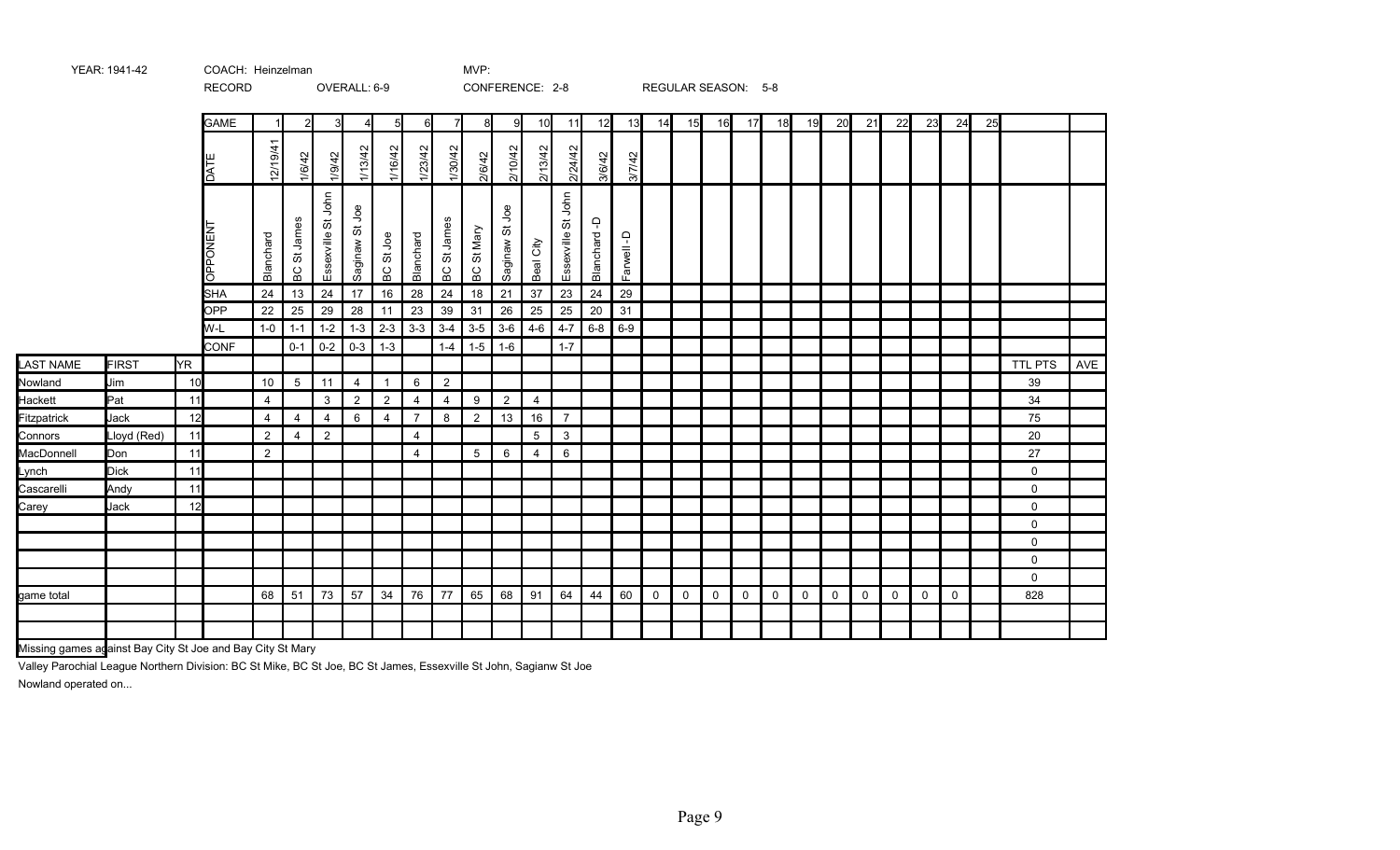|                  |              |      | <b>RECORD</b>      |                |                    |                    | OVERALL: 6-9   |                  |                |                |                 |                          | CONFERENCE: 2-8 |                         |                |           |    |    |    | REGULAR SEASON: 5-8 |    |    |    |              |    |    |    |    |             |     |
|------------------|--------------|------|--------------------|----------------|--------------------|--------------------|----------------|------------------|----------------|----------------|-----------------|--------------------------|-----------------|-------------------------|----------------|-----------|----|----|----|---------------------|----|----|----|--------------|----|----|----|----|-------------|-----|
|                  |              |      | <b>GAME</b>        |                | 2                  | 3                  | 4              | 51               | 6I             | 7              | 8               | -91                      | 10              | 11                      | 12             | 13        | 14 | 15 | 16 | 17                  | 18 | 19 | 20 | 21           | 22 | 23 | 24 | 25 |             |     |
|                  |              |      | <b>TAC</b>         | 12/19/41       | 1/6/42             | 1/9/42             | 1/13/42        | 1/16/42          | 1/23/42        | 1/30/42        | 2/6/42          | 2/10/42                  | 2/13/42         | 2/24/42                 | 3/6/42         | 3/7/42    |    |    |    |                     |    |    |    |              |    |    |    |    |             |     |
|                  |              |      | <b>LN3NOddO</b>    | Blanchard      | BC St James        | Essexville St John | Saginaw St Joe | BC St Joe        | Blanchard      | BC St James    | BC St Mary      | <u>g</u><br>ö<br>Saginaw | Beal City       | St John<br>Essexville ' | ۾<br>Blanchard | Farwell-D |    |    |    |                     |    |    |    |              |    |    |    |    |             |     |
|                  |              |      | <b>SHA</b>         | 24             | 13                 | 24                 | 17             | $16\,$           | 28             | 24             | 18              | 21                       | 37              | 23                      | 24             | 29        |    |    |    |                     |    |    |    |              |    |    |    |    |             |     |
|                  |              |      | <b>OPP</b>         | 22             | 25                 | 29                 | 28             | 11               | 23             | 39             | 31              | 26                       | 25              | 25                      | 20             | 31        |    |    |    |                     |    |    |    |              |    |    |    |    |             |     |
|                  |              |      | W-L<br><b>CONF</b> | $1-0$          | $1 - 1$<br>$0 - 1$ | $1 - 2$<br>$0 - 2$ | $1 - 3$        | $2-3$<br>$1 - 3$ | $3-3$          | $3-4$          | $3-5$           | $3-6$<br>$1 - 6$         | $4 - 6$         | $4 - 7$<br>$1 - 7$      | $6 - 8$        | $6-9$     |    |    |    |                     |    |    |    |              |    |    |    |    |             |     |
| <b>LAST NAME</b> | <b>FIRST</b> | lYR. |                    |                |                    |                    | $0 - 3$        |                  |                | $1 - 4$        | $1 - 5$         |                          |                 |                         |                |           |    |    |    |                     |    |    |    |              |    |    |    |    | TTL PTS     | AVE |
| Nowland          | Jim          | 10   |                    | 10             | $5^{\circ}$        | 11                 | $\overline{4}$ | $\mathbf{1}$     | $6\phantom{1}$ | $\overline{2}$ |                 |                          |                 |                         |                |           |    |    |    |                     |    |    |    |              |    |    |    |    | 39          |     |
| Hackett          | Pat          | 11   |                    | $\overline{4}$ |                    | 3                  | $\overline{2}$ | $\overline{2}$   | 4              | 4              | 9               | $\overline{2}$           | 4               |                         |                |           |    |    |    |                     |    |    |    |              |    |    |    |    | 34          |     |
| Fitzpatrick      | Jack         | 12   |                    | 4              | $\overline{4}$     | $\overline{4}$     | 6              | $\overline{4}$   | $\overline{7}$ | 8              | $\overline{2}$  | 13                       | 16              | $\overline{7}$          |                |           |    |    |    |                     |    |    |    |              |    |    |    |    | 75          |     |
| Connors          | Lloyd (Red)  | 11   |                    | $\overline{2}$ | $\overline{4}$     | $\overline{2}$     |                |                  | 4              |                |                 |                          | 5               | $\mathbf{3}$            |                |           |    |    |    |                     |    |    |    |              |    |    |    |    | 20          |     |
| MacDonnell       | Don          | 11   |                    | $\overline{2}$ |                    |                    |                |                  | $\overline{4}$ |                | $5\phantom{.0}$ | 6                        | $\overline{4}$  | 6                       |                |           |    |    |    |                     |    |    |    |              |    |    |    |    | 27          |     |
| Lynch            | <b>Dick</b>  | 11   |                    |                |                    |                    |                |                  |                |                |                 |                          |                 |                         |                |           |    |    |    |                     |    |    |    |              |    |    |    |    | $\mathbf 0$ |     |
| Cascarelli       | Andy         | 11   |                    |                |                    |                    |                |                  |                |                |                 |                          |                 |                         |                |           |    |    |    |                     |    |    |    |              |    |    |    |    | $\mathbf 0$ |     |
| Carey            | Jack         | 12   |                    |                |                    |                    |                |                  |                |                |                 |                          |                 |                         |                |           |    |    |    |                     |    |    |    |              |    |    |    |    | $\mathbf 0$ |     |
|                  |              |      |                    |                |                    |                    |                |                  |                |                |                 |                          |                 |                         |                |           |    |    |    |                     |    |    |    |              |    |    |    |    | 0           |     |
|                  |              |      |                    |                |                    |                    |                |                  |                |                |                 |                          |                 |                         |                |           |    |    |    |                     |    |    |    |              |    |    |    |    | $\mathbf 0$ |     |
|                  |              |      |                    |                |                    |                    |                |                  |                |                |                 |                          |                 |                         |                |           |    |    |    |                     |    |    |    |              |    |    |    |    | $\mathbf 0$ |     |
|                  |              |      |                    |                |                    |                    |                |                  |                |                |                 |                          |                 |                         |                |           |    |    |    |                     |    |    |    |              |    |    |    |    | $\mathbf 0$ |     |
| game total       |              |      |                    | 68             | 51                 | 73                 | 57             | 34               | 76             | 77             | 65              | 68                       | 91              | 64                      | 44             | 60        | 0  | 0  | 0  | 0                   | 0  | 0  | 0  | $\mathsf{O}$ | 0  | 0  | 0  |    | 828         |     |
|                  |              |      |                    |                |                    |                    |                |                  |                |                |                 |                          |                 |                         |                |           |    |    |    |                     |    |    |    |              |    |    |    |    |             |     |
|                  |              |      |                    |                |                    |                    |                |                  |                |                |                 |                          |                 |                         |                |           |    |    |    |                     |    |    |    |              |    |    |    |    |             |     |

Missing games against Bay City St Joe and Bay City St Mary

Valley Parochial League Northern Division: BC St Mike, BC St Joe, BC St James, Essexville St John, Sagianw St Joe Nowland operated on...

YEAR: 1941-42 COACH: MVP: Heinzelman